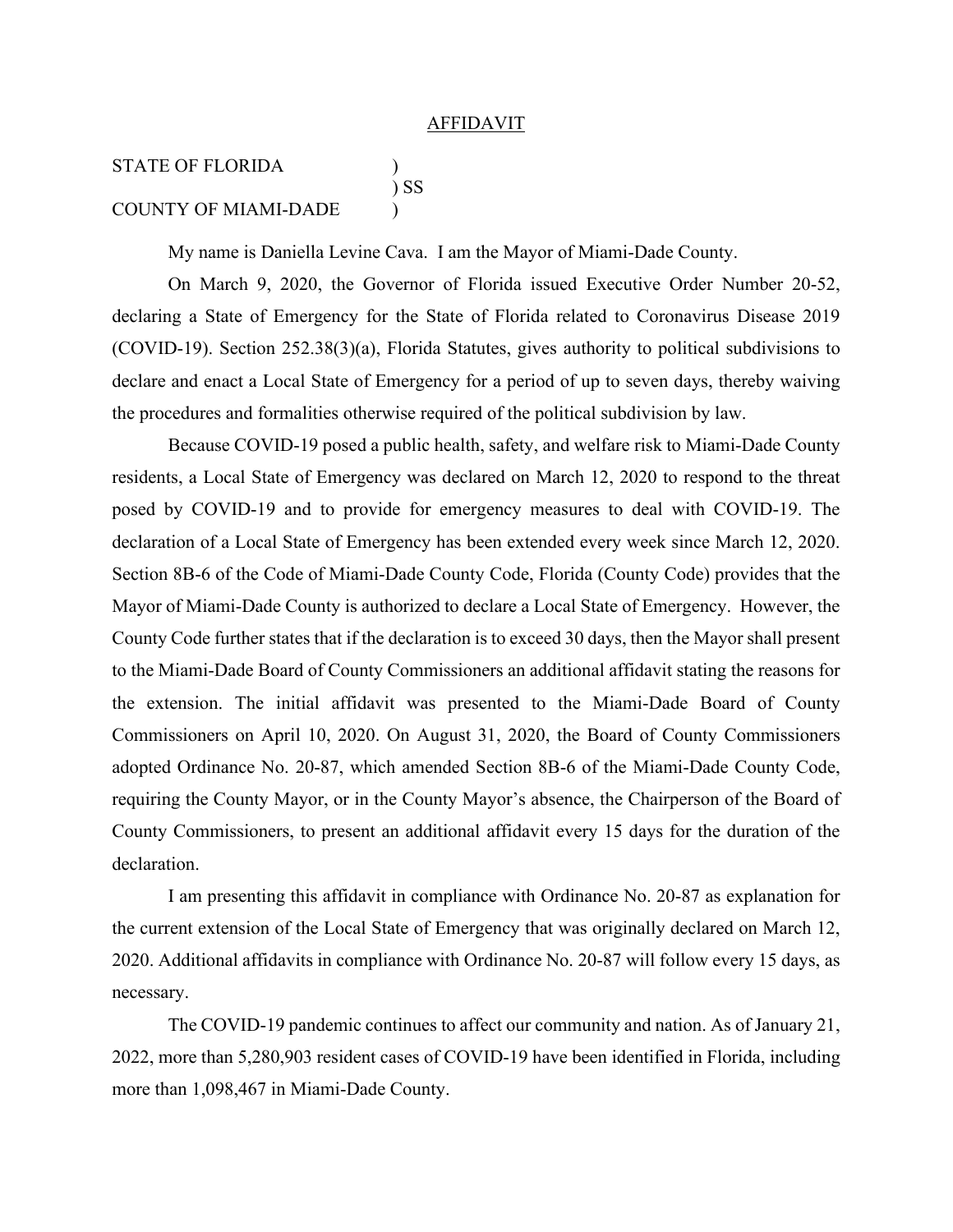## **AFFIDAVIT**

## STATE OF FLORIDA ) ) SS COUNTY OF MIAMI-DADE )

My name is Daniella Levine Cava. I am the Mayor of Miami-Dade County.

On March 9, 2020, the Governor of Florida issued Executive Order Number 20-52, declaring a State of Emergency for the State of Florida related to Coronavirus Disease 2019 (COVID-19). Section 252.38(3)(a), Florida Statutes, gives authority to political subdivisions to declare and enact a Local State of Emergency for a period of up to seven days, thereby waiving the procedures and formalities otherwise required of the political subdivision by law.

Because COVID-19 posed a public health, safety, and welfare risk to Miami-Dade County residents, a Local State of Emergency was declared on March 12, 2020 to respond to the threat posed by COVID-19 and to provide for emergency measures to deal with COVID-19. The declaration of a Local State of Emergency has been extended every week since March 12, 2020. Section 8B-6 of the Code of Miami-Dade County Code, Florida (County Code) provides that the Mayor of Miami-Dade County is authorized to declare a Local State of Emergency. However, the County Code further states that if the declaration is to exceed 30 days, then the Mayor shall present to the Miami-Dade Board of County Commissioners an additional affidavit stating the reasons for the extension. The initial affidavit was presented to the Miami-Dade Board of County Commissioners on April 10, 2020. On August 31, 2020, the Board of County Commissioners adopted Ordinance No. 20-87, which amended Section 8B-6 of the Miami-Dade County Code, requiring the County Mayor, or in the County Mayor's absence, the Chairperson of the Board of County Commissioners, to present an additional affidavit every 15 days for the duration of the declaration.

I am presenting this affidavit in compliance with Ordinance No. 20-87 as explanation for the current extension of the Local State of Emergency that was originally declared on March 12, 2020. Additional affidavits in compliance with Ordinance No. 20-87 will follow every 15 days, as necessary.

The COVID-19 pandemic continues to affect our community and nation. As of January 21, 2022, more than 5,280,903 resident cases of COVID-19 have been identified in Florida, including more than 1,098,467 in Miami-Dade County.